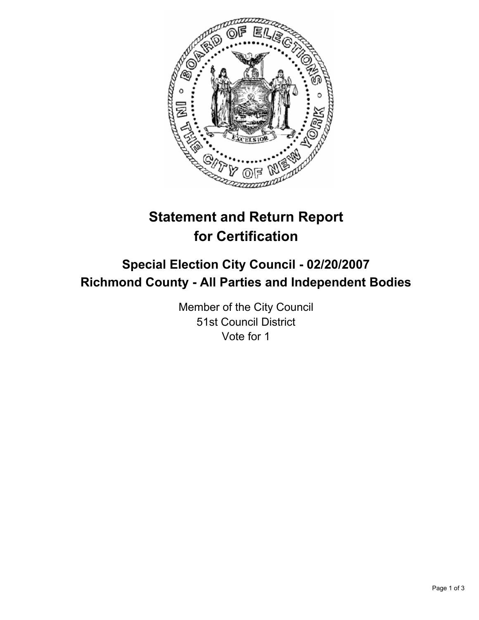

# **Statement and Return Report for Certification**

# **Special Election City Council - 02/20/2007 Richmond County - All Parties and Independent Bodies**

Member of the City Council 51st Council District Vote for 1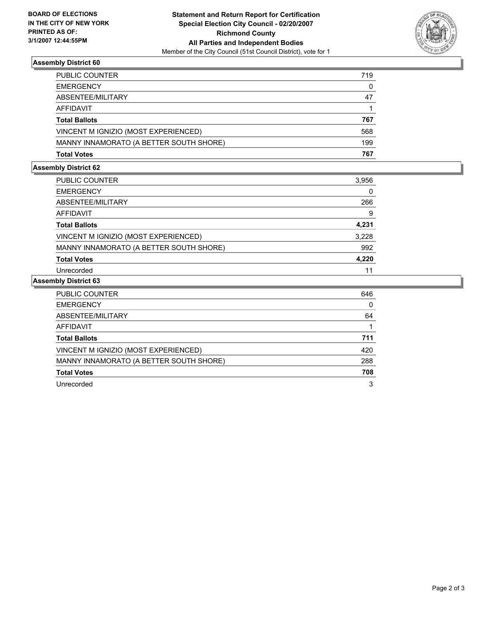

## **Assembly District 60**

| PUBLIC COUNTER                          | 719 |
|-----------------------------------------|-----|
| <b>EMERGENCY</b>                        | 0   |
| ABSENTEE/MILITARY                       | 47  |
| AFFIDAVIT                               |     |
| <b>Total Ballots</b>                    | 767 |
| VINCENT M IGNIZIO (MOST EXPERIENCED)    | 568 |
| MANNY INNAMORATO (A BETTER SOUTH SHORE) | 199 |
| <b>Total Votes</b>                      | 767 |

## **Assembly District 62**

| <b>PUBLIC COUNTER</b>                   | 3,956 |
|-----------------------------------------|-------|
| <b>EMERGENCY</b>                        |       |
| ABSENTEE/MILITARY                       | 266   |
| AFFIDAVIT                               | 9     |
| <b>Total Ballots</b>                    | 4,231 |
| VINCENT M IGNIZIO (MOST EXPERIENCED)    | 3,228 |
| MANNY INNAMORATO (A BETTER SOUTH SHORE) | 992   |
| <b>Total Votes</b>                      | 4,220 |
| Unrecorded                              | 11    |

#### **Assembly District 63**

| PUBLIC COUNTER                          | 646 |
|-----------------------------------------|-----|
| <b>EMERGENCY</b>                        | 0   |
| ABSENTEE/MILITARY                       | 64  |
| <b>AFFIDAVIT</b>                        |     |
| <b>Total Ballots</b>                    | 711 |
| VINCENT M IGNIZIO (MOST EXPERIENCED)    | 420 |
| MANNY INNAMORATO (A BETTER SOUTH SHORE) | 288 |
| <b>Total Votes</b>                      | 708 |
| Unrecorded                              | 3   |